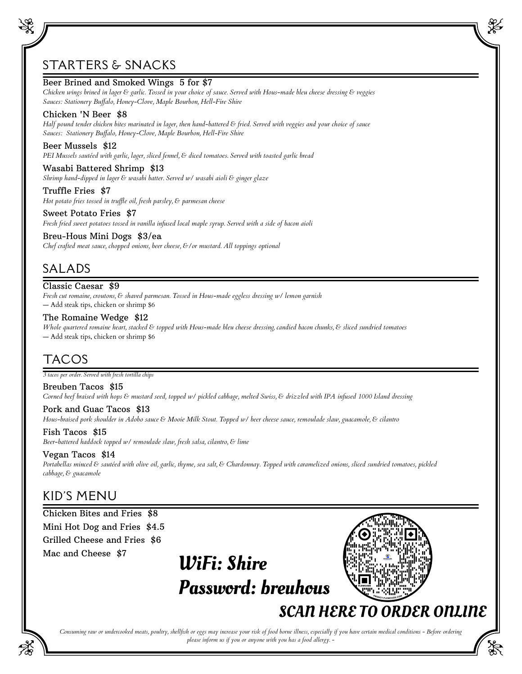# STARTERS & SNACKS

# Beer Brined and Smoked Wings 5 for \$7

*Chicken wings brined in lager & garlic. Tossed in your choice of sauce. Served with Hous-made bleu cheese dressing & veggies Sauces: Stationery Buffalo, Honey-Clove, Maple Bourbon, Hell-Fire Shire*

# Chicken 'N Beer \$8

*Half pound tender chicken bites marinated in lager, then hand-battered & fried. Served with veggies and your choice of sauce Sauces: Stationery Buffalo, Honey-Clove, Maple Bourbon, Hell-Fire Shire*

# Beer Mussels \$12

*PEI Mussels sautéed with garlic, lager, sliced fennel, & diced tomatoes. Served with toasted garlic bread*

Wasabi Battered Shrimp \$13 *Shrimp hand-dipped in lager & wasabi batter. Served w/ wasabi aioli & ginger glaze*

Truffle Fries \$7 *Hot potato fries tossed in truffle oil, fresh parsley, & parmesan cheese*

Sweet Potato Fries \$7 *Fresh fried sweet potatoes tossed in vanilla infused local maple syrup. Served with a side of bacon aioli*

### Breu-Hous Mini Dogs \$3/ea

*Chef crafted meat sauce, chopped onions, beer cheese, &/or mustard. All toppings optional*

# SALADS

Classic Caesar \$9 *Fresh cut romaine, croutons, & shaved parmesan. Tossed in Hous-made eggless dressing w/ lemon garnish* — Add steak tips, chicken or shrimp \$6

# The Romaine Wedge \$12

*Whole quartered romaine heart, stacked & topped with Hous-made bleu cheese dressing, candied bacon chunks, & sliced sundried tomatoes* — Add steak tips, chicken or shrimp \$6

# TACOS

*3 tacos per order. Served with fresh tortilla chips*

Breuben Tacos \$15 *Corned beef braised with hops & mustard seed, topped w/ pickled cabbage, melted Swiss, & drizzled with IPA infused 1000 Island dressing*

Pork and Guac Tacos \$13 *Hous-braised pork shoulder in Adobo sauce & Mooie Milk Stout. Topped w/ beer cheese sauce, remoulade slaw, guacamole, & cilantro*

Fish Tacos \$15 *Beer-battered haddock topped w/ remoulade slaw, fresh salsa, cilantro, & lime*

# Vegan Tacos \$14

*Portabellas minced & sautéed with olive oil, garlic, thyme, sea salt, & Chardonnay. Topped with caramelized onions, sliced sundried tomatoes, pickled cabbage, & guacamole*

# KID'S MENU

Chicken Bites and Fries \$8 Mini Hot Dog and Fries \$4.5 Grilled Cheese and Fries \$6 Mac and Cheese \$7

WiFi: Shire Password: breuhous



SCAN HERE TO ORDER ONLINE

*Consuming raw or undercooked meats, poultry, shellfish or eggs may increase your risk of food borne illness, especially if you have certain medical conditions - Before ordering please inform us if you or anyone with you has a food allergy. -*